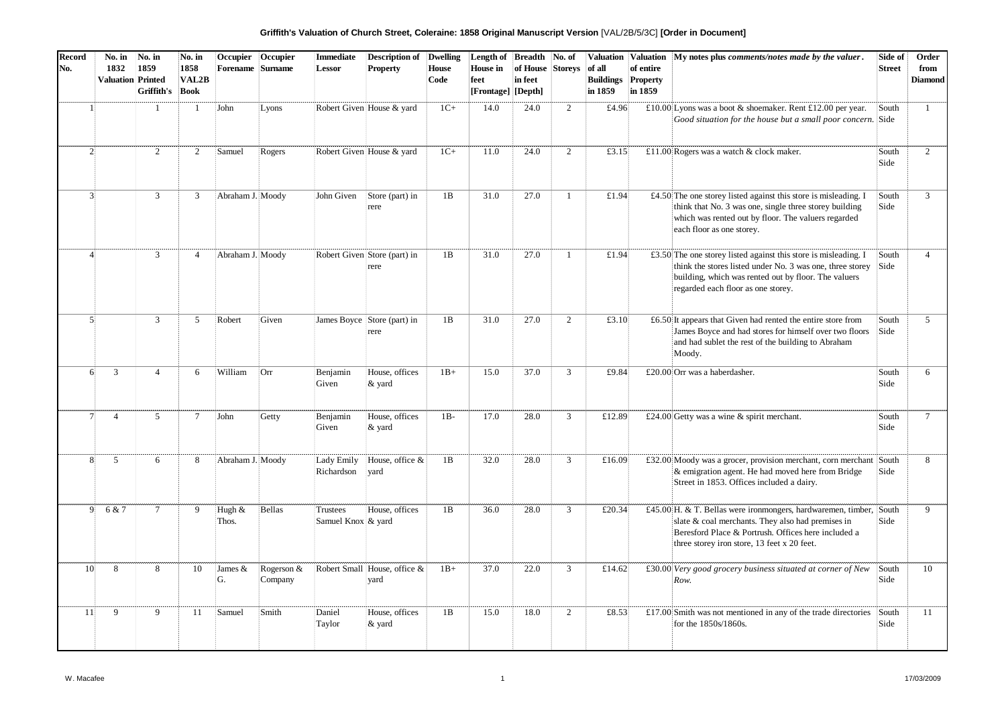| Griffith's Valuation of Church Street, Coleraine: 1858 Original Manuscript Version [VAL/2B/5/3C] [Order in Document] |  |  |  |
|----------------------------------------------------------------------------------------------------------------------|--|--|--|
|----------------------------------------------------------------------------------------------------------------------|--|--|--|

| <b>Record</b><br>No. | No. in<br>1832<br><b>Valuation Printed</b> | No. in<br>1859<br>Griffith's | No. in<br>1858<br>VAL2B<br>Book | Occupier<br>Forename Surname | Occupier              | <b>Immediate</b><br>Lessor     | <b>Description of</b><br><b>Property</b> | <b>Dwelling</b><br>House<br>Code | Length of<br>House in<br>feet<br>[Frontage] [Depth] | <b>Breadth</b><br>of House<br>in feet | No. of<br><b>Storeys</b> | <b>Valuation</b><br>of all<br><b>Buildings</b><br>in 1859 | Valuation<br>of entire<br>Property<br>in 1859 | My notes plus comments/notes made by the valuer.                                                                                                                                                                              | Side of<br><b>Street</b> | Order<br>from<br><b>Diamond</b> |
|----------------------|--------------------------------------------|------------------------------|---------------------------------|------------------------------|-----------------------|--------------------------------|------------------------------------------|----------------------------------|-----------------------------------------------------|---------------------------------------|--------------------------|-----------------------------------------------------------|-----------------------------------------------|-------------------------------------------------------------------------------------------------------------------------------------------------------------------------------------------------------------------------------|--------------------------|---------------------------------|
| $\mathbf{1}$         |                                            | $\overline{1}$               | $\mathbf{1}$                    | John                         | Lyons                 |                                | Robert Given House & yard                | $1C+$                            | 14.0                                                | 24.0                                  | $\overline{2}$           | £4.96                                                     |                                               | £10.00 Lyons was a boot & shoemaker. Rent £12.00 per year.<br>Good situation for the house but a small poor concern. Side                                                                                                     | South                    | $\mathbf{1}$                    |
| $\overline{2}$       |                                            | 2                            | 2                               | Samuel                       | Rogers                |                                | Robert Given House & yard                | $1C+$                            | 11.0                                                | 24.0                                  | $\overline{2}$           | £3.15                                                     |                                               | £11.00 Rogers was a watch & clock maker.                                                                                                                                                                                      | South<br>Side            | $\overline{2}$                  |
| $\overline{3}$       |                                            | $\mathbf{3}$                 | 3                               | Abraham J. Moody             |                       | John Given                     | Store (part) in<br>rere                  | 1B                               | 31.0                                                | 27.0                                  | $\mathbf{1}$             | £1.94                                                     |                                               | £4.50 The one storey listed against this store is misleading. I<br>think that No. 3 was one, single three storey building<br>which was rented out by floor. The valuers regarded<br>each floor as one storey.                 | South<br>Side            | $\overline{3}$                  |
| $\varDelta$          |                                            | $\overline{3}$               | $\overline{4}$                  | Abraham J. Moody             |                       |                                | Robert Given Store (part) in<br>rere     | 1B                               | 31.0                                                | 27.0                                  | -1                       | £1.94                                                     |                                               | £3.50 The one storey listed against this store is misleading. I<br>think the stores listed under No. 3 was one, three storey<br>building, which was rented out by floor. The valuers<br>regarded each floor as one storey.    | South<br>Side            | $\overline{4}$                  |
| $\mathbf{5}$         |                                            | 3                            | 5                               | Robert                       | Given                 |                                | James Boyce Store (part) in<br>rere      | 1B                               | 31.0                                                | 27.0                                  | $\overline{2}$           | £3.10                                                     |                                               | £6.50 It appears that Given had rented the entire store from<br>James Boyce and had stores for himself over two floors<br>and had sublet the rest of the building to Abraham<br>Moody.                                        | South<br>Side            | $\overline{5}$                  |
| 61                   | 3                                          | $\overline{4}$               | 6                               | William                      | 'Orr                  | Benjamin<br>Given              | House, offices<br>& yard                 | $1B+$                            | 15.0                                                | 37.0                                  | $\mathbf{3}$             | £9.84                                                     |                                               | £20.00 Orr was a haberdasher.                                                                                                                                                                                                 | South<br>Side            | 6                               |
| 7 <sup>1</sup>       | $\overline{4}$                             | 5                            | $\tau$                          | John                         | Getty                 | Benjamin<br>Given              | House, offices<br>& yard                 | $1B-$                            | 17.0                                                | 28.0                                  | $\mathbf{3}$             | £12.89                                                    |                                               | £24.00 Getty was a wine $\&$ spirit merchant.                                                                                                                                                                                 | South<br>Side            | $\overline{7}$                  |
| 8 <sup>1</sup>       | 5                                          | 6                            | 8                               | Abraham J. Moody             |                       | Lady Emily<br>Richardson       | House, office &<br>vard                  | 1B                               | 32.0                                                | 28.0                                  | $\mathfrak{Z}$           | £16.09                                                    |                                               | £32.00 Moody was a grocer, provision merchant, corn merchant<br>& emigration agent. He had moved here from Bridge<br>Street in 1853. Offices included a dairy.                                                                | South<br>Side            | 8                               |
|                      | 9<br>6 & 7                                 | $7\phantom{.0}$              | 9                               | Hugh &<br>Thos.              | Bellas                | Trustees<br>Samuel Knox & yard | House, offices                           | 1B                               | 36.0                                                | 28.0                                  | $\mathbf{3}$             | £20.34                                                    |                                               | £45.00 H. & T. Bellas were ironmongers, hardwaremen, timber, South<br>slate & coal merchants. They also had premises in<br>Beresford Place & Portrush. Offices here included a<br>three storey iron store, 13 feet x 20 feet. | Side                     | 9                               |
| 10                   | 8                                          | 8                            | 10                              | James &<br>G.                | Rogerson &<br>Company |                                | Robert Small House, office &<br>vard     | $1B+$                            | 37.0                                                | 22.0                                  | 3                        | £14.62                                                    |                                               | £30.00 Very good grocery business situated at corner of New<br>Row.                                                                                                                                                           | South<br>Side            | 10                              |
| 11                   | 9                                          | 9                            | 11                              | Samuel                       | Smith                 | Daniel<br>Taylor               | House, offices<br>& yard                 | 1B                               | 15.0                                                | 18.0                                  | $\overline{2}$           | £8.53                                                     |                                               | £17.00 Smith was not mentioned in any of the trade directories<br>for the 1850s/1860s.                                                                                                                                        | South<br>Side            | 11                              |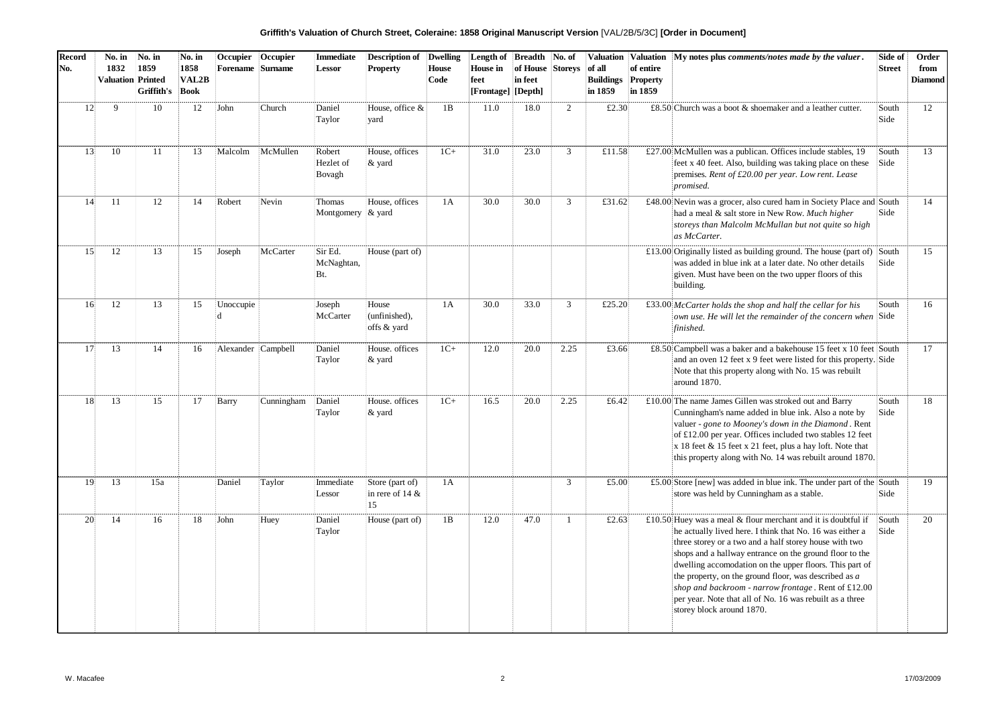| Griffith's Valuation of Church Street, Coleraine: 1858 Original Manuscript Version [VAL/2B/5/3C] [Order in Document] |  |  |  |
|----------------------------------------------------------------------------------------------------------------------|--|--|--|
|----------------------------------------------------------------------------------------------------------------------|--|--|--|

| <b>Record</b><br>No. | No. in<br>1832<br><b>Valuation Printed</b> | No. in<br>1859<br>Griffith's | No. in<br>1858<br>VAL <sub>2</sub> B<br>Book | Occupier<br><b>Forename</b> Surname | Occupier   | <b>Immediate</b><br>Lessor     | <b>Description of</b><br><b>Property</b>    | <b>Dwelling</b><br><b>House</b><br>Code | Length of<br><b>House</b> in<br>feet<br>[Frontage] [Depth] | <b>Breadth</b><br>of House<br>in feet | No. of<br><b>Storeys</b> | Valuation<br>of all<br><b>Buildings</b><br>in 1859 | Valuation<br>of entire<br>Property<br>in 1859 | My notes plus comments/notes made by the valuer.                                                                                                                                                                                                                                                                                                                                                                                                                                                                   | Side of<br><b>Street</b> | Order<br>from<br><b>Diamond</b> |
|----------------------|--------------------------------------------|------------------------------|----------------------------------------------|-------------------------------------|------------|--------------------------------|---------------------------------------------|-----------------------------------------|------------------------------------------------------------|---------------------------------------|--------------------------|----------------------------------------------------|-----------------------------------------------|--------------------------------------------------------------------------------------------------------------------------------------------------------------------------------------------------------------------------------------------------------------------------------------------------------------------------------------------------------------------------------------------------------------------------------------------------------------------------------------------------------------------|--------------------------|---------------------------------|
| 12                   | 9                                          | 10                           | 12                                           | John                                | Church     | Daniel<br>Taylor               | House, office &<br>vard                     | 1B                                      | 11.0                                                       | 18.0                                  | 2                        | £2.30                                              |                                               | £8.50 Church was a boot $\&$ shoemaker and a leather cutter.                                                                                                                                                                                                                                                                                                                                                                                                                                                       | South<br>Side            | 12                              |
| 13                   | 10                                         | 11                           | 13                                           | Malcolm                             | McMullen   | Robert<br>Hezlet of<br>Bovagh  | House, offices<br>& yard                    | $1C+$                                   | 31.0                                                       | 23.0                                  | $\mathfrak{Z}$           | £11.58                                             |                                               | £27.00 McMullen was a publican. Offices include stables, 19<br>feet x 40 feet. Also, building was taking place on these<br>premises. Rent of £20.00 per year. Low rent. Lease<br>promised.                                                                                                                                                                                                                                                                                                                         | South<br>Side            | 13                              |
| 14                   | 11                                         | 12                           | 14                                           | Robert                              | Nevin      | Thomas<br>Montgomery $\&$ yard | House, offices                              | 1A                                      | 30.0                                                       | 30.0                                  | $\mathfrak{Z}$           | £31.62                                             |                                               | £48.00 Nevin was a grocer, also cured ham in Society Place and South<br>had a meal & salt store in New Row. Much higher<br>storeys than Malcolm McMullan but not quite so high<br>as McCarter.                                                                                                                                                                                                                                                                                                                     | Side                     | 14                              |
| 15                   | 12                                         | 13                           | 15                                           | Joseph                              | McCarter   | Sir Ed.<br>McNaghtan,<br>Bt.   | House (part of)                             |                                         |                                                            |                                       |                          |                                                    |                                               | £13.00 Originally listed as building ground. The house (part of)<br>was added in blue ink at a later date. No other details<br>given. Must have been on the two upper floors of this<br>building.                                                                                                                                                                                                                                                                                                                  | South<br>Side            | 15                              |
| 16                   | 12                                         | 13                           | 15                                           | Unoccupie                           |            | Joseph<br>McCarter             | House<br>(unfinished),<br>offs & yard       | 1A                                      | 30.0                                                       | 33.0                                  | $\overline{3}$           | £25.20                                             |                                               | $£33.00$ McCarter holds the shop and half the cellar for his<br>own use. He will let the remainder of the concern when Side<br>finished.                                                                                                                                                                                                                                                                                                                                                                           | South                    | 16                              |
| 17                   | 13                                         | 14                           | 16                                           | Alexander Campbell                  |            | Daniel<br>Taylor               | House. offices<br>& yard                    | $1C+$                                   | 12.0                                                       | 20.0                                  | 2.25                     | £3.66                                              |                                               | £8.50 Campbell was a baker and a bakehouse 15 feet x 10 feet South<br>and an oven 12 feet x 9 feet were listed for this property. Side<br>Note that this property along with No. 15 was rebuilt<br>around 1870.                                                                                                                                                                                                                                                                                                    |                          | 17                              |
| 18                   | 13                                         | 15                           | 17                                           | Barry                               | Cunningham | Daniel<br>Taylor               | House. offices<br>& yard                    | $1C+$                                   | 16.5                                                       | 20.0                                  | 2.25                     | £6.42                                              |                                               | $£10.00$ The name James Gillen was stroked out and Barry<br>Cunningham's name added in blue ink. Also a note by<br>valuer - gone to Mooney's down in the Diamond. Rent<br>of £12.00 per year. Offices included two stables 12 feet<br>$x$ 18 feet & 15 feet $x$ 21 feet, plus a hay loft. Note that<br>this property along with No. 14 was rebuilt around 1870.                                                                                                                                                    | South<br>Side            | 18                              |
| 19                   | 13                                         | 15a                          |                                              | Daniel                              | Taylor     | Immediate<br>Lessor            | Store (part of)<br>in rere of 14 $\&$<br>15 | 1A                                      |                                                            |                                       | $\mathfrak{Z}$           | £5.00                                              |                                               | £5.00 Store [new] was added in blue ink. The under part of the $\vert$ South<br>store was held by Cunningham as a stable.                                                                                                                                                                                                                                                                                                                                                                                          | Side                     | 19                              |
| 20                   | 14                                         | 16                           | 18                                           | John                                | Huey       | Daniel<br>Taylor               | House (part of)                             | 1B                                      | 12.0                                                       | 47.0                                  | $\mathbf{1}$             | £2.63                                              |                                               | £10.50 Huey was a meal & flour merchant and it is doubtful if<br>he actually lived here. I think that No. 16 was either a<br>three storey or a two and a half storey house with two<br>shops and a hallway entrance on the ground floor to the<br>dwelling accomodation on the upper floors. This part of<br>the property, on the ground floor, was described as a<br>shop and backroom - narrow frontage. Rent of £12.00<br>per year. Note that all of No. 16 was rebuilt as a three<br>storey block around 1870. | South<br>Side            | 20                              |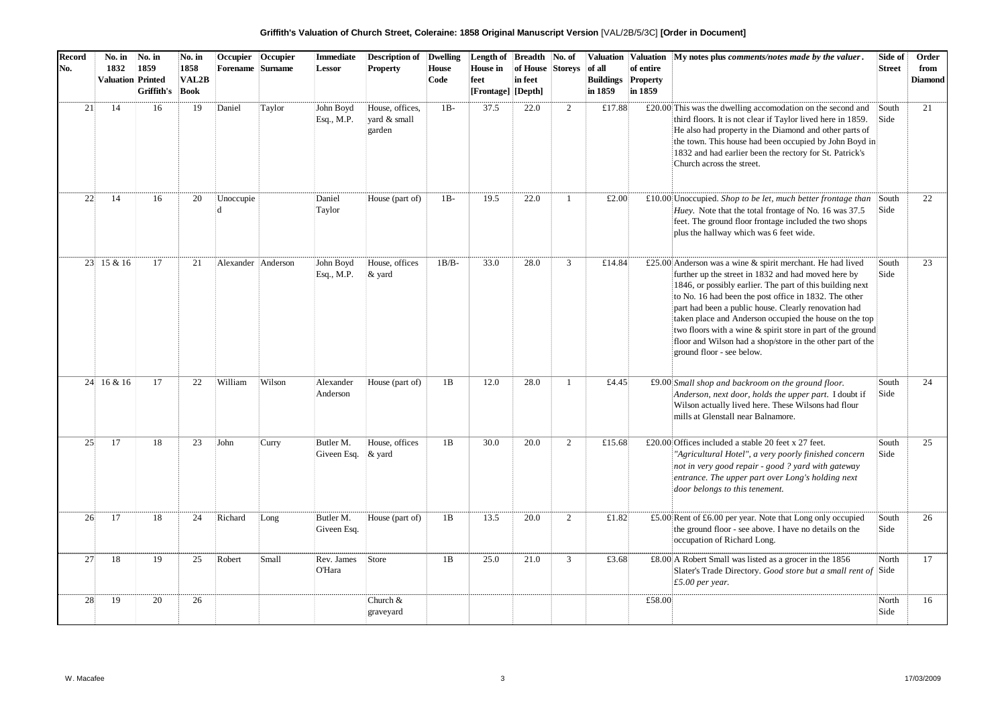| Griffith's Valuation of Church Street, Coleraine: 1858 Original Manuscript Version [VAL/2B/5/3C] [Order in Document] |  |  |  |
|----------------------------------------------------------------------------------------------------------------------|--|--|--|
|----------------------------------------------------------------------------------------------------------------------|--|--|--|

| <b>Record</b><br>No. | No. in<br>1832<br><b>Valuation Printed</b> | No. in<br>1859<br>Griffith's | No. in<br>1858<br>VAL2B<br>Book | Occupier<br><b>Forename</b> Surname | Occupier | <b>Immediate</b><br><b>Lessor</b> | <b>Description of</b><br><b>Property</b>  | <b>Dwelling</b><br><b>House</b><br>Code | Length of<br>House in<br>feet<br>[Frontage] [Depth] | <b>Breadth</b><br>of House<br>in feet | No. of<br><b>Storeys</b> | of all<br><b>Buildings</b><br>in 1859 | of entire<br><b>Property</b><br>in 1859 | Valuation   Valuation   My notes plus comments/notes made by the valuer.                                                                                                                                                                                                                                                                                                                                                                                                                                            | Side of<br><b>Street</b> | Order<br>from<br><b>Diamond</b> |
|----------------------|--------------------------------------------|------------------------------|---------------------------------|-------------------------------------|----------|-----------------------------------|-------------------------------------------|-----------------------------------------|-----------------------------------------------------|---------------------------------------|--------------------------|---------------------------------------|-----------------------------------------|---------------------------------------------------------------------------------------------------------------------------------------------------------------------------------------------------------------------------------------------------------------------------------------------------------------------------------------------------------------------------------------------------------------------------------------------------------------------------------------------------------------------|--------------------------|---------------------------------|
| 21                   | 14                                         | 16                           | 19                              | Daniel                              | Taylor   | John Boyd<br>Esq., M.P.           | House, offices,<br>vard & small<br>garden | $1B-$                                   | 37.5                                                | 22.0                                  | $\overline{2}$           | £17.88                                |                                         | $£20.00$ This was the dwelling accomodation on the second and<br>third floors. It is not clear if Taylor lived here in 1859.<br>He also had property in the Diamond and other parts of<br>the town. This house had been occupied by John Boyd in<br>1832 and had earlier been the rectory for St. Patrick's<br>Church across the street.                                                                                                                                                                            | South<br>Side            | 21                              |
| 22                   | 14                                         | 16                           | 20                              | Unoccupie<br>Ы                      |          | Daniel<br>Taylor                  | House (part of)                           | $1B-$                                   | 19.5                                                | 22.0                                  | $\overline{1}$           | £2.00                                 |                                         | £10.00 Unoccupied. Shop to be let, much better frontage than<br>Huey. Note that the total frontage of No. 16 was 37.5<br>feet. The ground floor frontage included the two shops<br>plus the hallway which was 6 feet wide.                                                                                                                                                                                                                                                                                          | South<br>Side            | 22                              |
|                      | 23 15 & 16                                 | 17                           | 21                              | Alexander Anderson                  |          | John Boyd<br>Esq., M.P.           | House, offices<br>& yard                  | $1B/B-$                                 | 33.0                                                | 28.0                                  | $\mathfrak{Z}$           | £14.84                                |                                         | £25.00 Anderson was a wine & spirit merchant. He had lived<br>further up the street in 1832 and had moved here by<br>1846, or possibly earlier. The part of this building next<br>to No. 16 had been the post office in 1832. The other<br>part had been a public house. Clearly renovation had<br>taken place and Anderson occupied the house on the top<br>two floors with a wine & spirit store in part of the ground<br>floor and Wilson had a shop/store in the other part of the<br>ground floor - see below. | South<br>Side            | 23                              |
|                      | 24 16 & 16                                 | 17                           | 22                              | William                             | Wilson   | Alexander<br>Anderson             | House (part of)                           | 1B                                      | 12.0                                                | 28.0                                  | $\mathbf{1}$             | £4.45                                 |                                         | £9.00 Small shop and backroom on the ground floor.<br>Anderson, next door, holds the upper part. I doubt if<br>Wilson actually lived here. These Wilsons had flour<br>mills at Glenstall near Balnamore.                                                                                                                                                                                                                                                                                                            | South<br>Side            | 24                              |
| 25                   | 17                                         | 18                           | 23                              | John                                | Curry    | Butler M.<br>Giveen Esq.          | House, offices<br>$\&$ yard               | 1B                                      | 30.0                                                | 20.0                                  | 2                        | £15.68                                |                                         | £20.00 Offices included a stable 20 feet x 27 feet.<br>"Agricultural Hotel", a very poorly finished concern<br>not in very good repair - good ? yard with gateway<br>entrance. The upper part over Long's holding next<br>door belongs to this tenement.                                                                                                                                                                                                                                                            | South<br>Side            | 25                              |
| 26                   | 17                                         | 18                           | 24                              | Richard                             | Long     | Butler M.<br>Giveen Esq.          | House (part of)                           | 1B                                      | 13.5                                                | 20.0                                  | $\overline{2}$           | £1.82                                 |                                         | £5.00 Rent of £6.00 per year. Note that Long only occupied<br>the ground floor - see above. I have no details on the<br>occupation of Richard Long.                                                                                                                                                                                                                                                                                                                                                                 | South<br>Side            | 26                              |
| 27                   | 18                                         | 19                           | 25                              | Robert                              | Small    | Rev. James<br>O'Hara              | Store                                     | 1B                                      | 25.0                                                | 21.0                                  | 3                        | £3.68                                 |                                         | £8.00 A Robert Small was listed as a grocer in the 1856<br>Slater's Trade Directory. Good store but a small rent of Side<br>£5.00 per year.                                                                                                                                                                                                                                                                                                                                                                         | North                    | 17                              |
| 28                   | 19                                         | 20                           | 26                              |                                     |          |                                   | Church &<br>graveyard                     |                                         |                                                     |                                       |                          |                                       | £58.00                                  |                                                                                                                                                                                                                                                                                                                                                                                                                                                                                                                     | North<br>Side            | 16                              |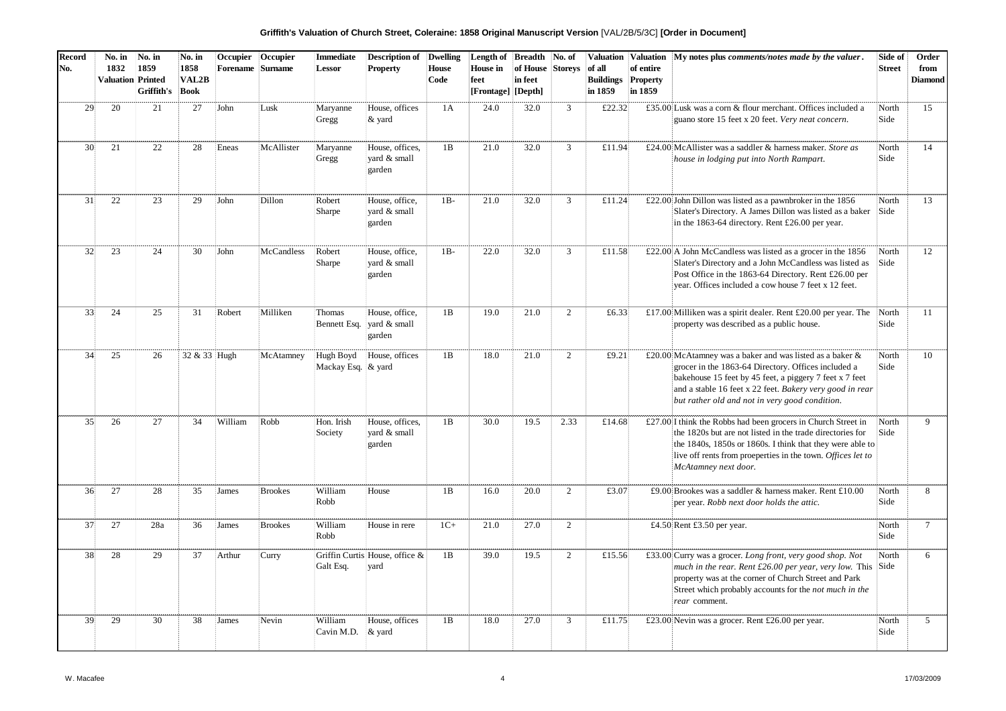**Griffith's Valuation of Church Street, Coleraine: 1858 Original Manuscript Version** [VAL/2B/5/3C] **[Order in Document]**

| <b>Record</b><br>No. | No. in<br>1832<br><b>Valuation Printed</b> | No. in<br>1859<br>Griffith's | No. in<br>1858<br>VAL <sub>2</sub> B<br>Book | Occupier<br><b>Forename</b> | Occupier<br><b>Surname</b> | Immediate<br><b>Lessor</b>      | <b>Description of</b> Dwelling<br><b>Property</b>         | House<br>Code | Length of<br><b>House</b> in<br>feet<br>[Frontage] [Depth] | Breadth No. of<br>of House Storeys<br>in feet |                | of all<br><b>Buildings</b><br>in 1859 | of entire<br>Property<br>in 1859 | Valuation   Valuation   My notes plus comments/notes made by the valuer.                                                                                                                                                                                                                 | Side of<br><b>Street</b> | Order<br>from<br><b>Diamond</b> |
|----------------------|--------------------------------------------|------------------------------|----------------------------------------------|-----------------------------|----------------------------|---------------------------------|-----------------------------------------------------------|---------------|------------------------------------------------------------|-----------------------------------------------|----------------|---------------------------------------|----------------------------------|------------------------------------------------------------------------------------------------------------------------------------------------------------------------------------------------------------------------------------------------------------------------------------------|--------------------------|---------------------------------|
| 29                   | 20                                         | 21                           | 27                                           | John                        | Lusk                       | Maryanne<br>Gregg               | House, offices<br>$&$ yard                                | 1A            | 24.0                                                       | 32.0                                          | $\mathbf{3}$   | £22.32                                |                                  | £35.00 Lusk was a corn & flour merchant. Offices included a<br>guano store 15 feet x 20 feet. Very neat concern.                                                                                                                                                                         | North<br>Side            | 15                              |
| 30                   | 21                                         | 22                           | 28                                           | Eneas                       | McAllister                 | Maryanne<br>Gregg               | House, offices,<br>vard & small<br>garden                 | 1B            | 21.0                                                       | 32.0                                          | $\mathbf{3}$   | £11.94                                |                                  | £24.00 McAllister was a saddler & harness maker. Store as<br>house in lodging put into North Rampart.                                                                                                                                                                                    | North<br>Side            | 14                              |
| 31                   | 22                                         | 23                           | 29                                           | John                        | Dillon                     | Robert<br>Sharpe                | House, office,<br>yard & small<br>garden                  | $1B-$         | 21.0                                                       | 32.0                                          | $\mathbf{3}$   | £11.24                                |                                  | £22.00 John Dillon was listed as a pawnbroker in the $1856$<br>Slater's Directory. A James Dillon was listed as a baker<br>in the 1863-64 directory. Rent £26.00 per year.                                                                                                               | North<br>Side            | 13                              |
| 32                   | 23                                         | 24                           | 30                                           | John                        | <b>McCandless</b>          | Robert<br>Sharpe                | House, office,<br>vard & small<br>garden                  | $1B-$         | 22.0                                                       | 32.0                                          | $\mathbf{3}$   | £11.58                                |                                  | £22.00 A John McCandless was listed as a grocer in the 1856<br>Slater's Directory and a John McCandless was listed as<br>Post Office in the 1863-64 Directory. Rent £26.00 per<br>year. Offices included a cow house 7 feet x 12 feet.                                                   | North<br>Side            | 12                              |
| 33                   | 24                                         | 25                           | 31                                           | Robert                      | Milliken                   | Thomas                          | House, office,<br>Bennett Esq.   yard $&$ small<br>garden | 1B            | 19.0                                                       | 21.0                                          | 2              | £6.33                                 |                                  | £17.00 Milliken was a spirit dealer. Rent £20.00 per year. The<br>property was described as a public house.                                                                                                                                                                              | North<br>Side            | 11                              |
| 34                   | 25                                         | 26                           | 32 & 33 Hugh                                 |                             | McAtamney                  | Hugh Boyd<br>Mackay Esq. & yard | House, offices                                            | 1B            | 18.0                                                       | 21.0                                          | $\overline{2}$ | £9.21                                 |                                  | £20.00 McAtamney was a baker and was listed as a baker &<br>grocer in the 1863-64 Directory. Offices included a<br>bakehouse 15 feet by 45 feet, a piggery 7 feet x 7 feet<br>and a stable 16 feet x 22 feet. Bakery very good in rear<br>but rather old and not in very good condition. | North<br>Side            | 10                              |
| 35                   | 26                                         | 27                           | 34                                           | William                     | Robb                       | Hon. Irish<br>Society           | House, offices,<br>yard & small<br>garden                 | 1B            | 30.0                                                       | 19.5                                          | 2.33           | £14.68                                |                                  | £27.00 I think the Robbs had been grocers in Church Street in<br>the 1820s but are not listed in the trade directories for<br>the 1840s, 1850s or 1860s. I think that they were able to<br>live off rents from proeperties in the town. Offices let to<br>McAtamney next door.           | North<br>Side            | 9                               |
| 36                   | 27                                         | 28                           | 35                                           | James                       | <b>Brookes</b>             | William<br>Robb                 | House                                                     | 1B            | 16.0                                                       | 20.0                                          | 2              | £3.07                                 |                                  | £9.00 Brookes was a saddler & harness maker. Rent £10.00<br>per year. Robb next door holds the attic.                                                                                                                                                                                    | North<br>Side            | 8                               |
| 37                   | 27                                         | 28a                          | 36                                           | James                       | <b>Brookes</b>             | William<br>Robb                 | House in rere                                             | $1C+$         | 21.0                                                       | 27.0                                          | 2              |                                       |                                  | £4.50 Rent £3.50 per year.                                                                                                                                                                                                                                                               | North<br>Side            | $\tau$                          |
| 38                   | 28                                         | 29                           | 37                                           | Arthur                      | Curry                      | Galt Esq.                       | Griffin Curtis House, office &<br>yard                    | 1B            | 39.0                                                       | 19.5                                          | 2              | £15.56                                |                                  | £33.00 Curry was a grocer. Long front, very good shop. Not<br>much in the rear. Rent $£26.00$ per year, very low. This Side<br>property was at the corner of Church Street and Park<br>Street which probably accounts for the not much in the<br>rear comment.                           | North                    | 6                               |
| 39                   | 29                                         | 30                           | 38                                           | James                       | Nevin                      | William<br>Cavin M.D.           | House, offices<br>& yard                                  | 1B            | 18.0                                                       | 27.0                                          | 3              | £11.75                                |                                  | £23.00 Nevin was a grocer. Rent £26.00 per year.                                                                                                                                                                                                                                         | North<br>Side            | 5                               |